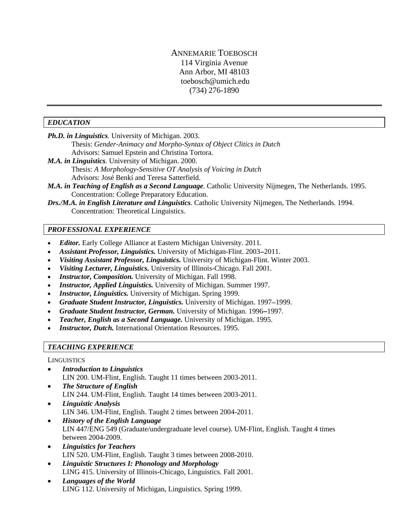# ANNEMARIE TOEBOSCH 114 Virginia Avenue Ann Arbor, MI 48103 toebosch@umich.edu (734) 276-1890

#### *EDUCATION*

*Ph.D. in Linguistics.* University of Michigan. 2003.

 Thesis: *Gender-Animacy and Morpho-Syntax of Object Clitics in Dutch*  Advisors: Samuel Epstein and Christina Tortora.

- *M.A. in Linguistics.* University of Michigan. 2000. Thesis: *A Morphology-Sensitive OT Analysis of Voicing in Dutch*  Advisors: José Benkí and Teresa Satterfield.
- *M.A. in Teaching of English as a Second Language.* Catholic University Nijmegen, The Netherlands. 1995. Concentration: College Preparatory Education.
- *Drs./M.A. in English Literature and Linguistics.* Catholic University Nijmegen, The Netherlands. 1994. Concentration: Theoretical Linguistics.

# *PROFESSIONAL EXPERIENCE*

- *Editor.* Early College Alliance at Eastern Michigan University. 2011.
- *Assistant Professor, Linguistics.* University of Michigan-Flint. 2003–2011.
- *Visiting Assistant Professor, Linguistics.* University of Michigan-Flint. Winter 2003.
- *Visiting Lecturer, Linguistics.* University of Illinois-Chicago. Fall 2001.
- *Instructor, Composition.* University of Michigan. Fall 1998.
- *Instructor, Applied Linguistics.* University of Michigan. Summer 1997.
- *Instructor, Linguistics.* University of Michigan. Spring 1999.
- Graduate Student Instructor, Linguistics. University of Michigan. 1997–1999.
- Graduate Student Instructor, German. University of Michigan. 1996–1997.
- *Teacher, English as a Second Language.* University of Michigan. 1995.
- **Instructor, Dutch.** International Orientation Resources. 1995.

# *TEACHING EXPERIENCE*

#### **LINGUISTICS**

- *Introduction to Linguistics* LIN 200. UM-Flint, English. Taught 11 times between 2003-2011.
- *The Structure of English*  LIN 244. UM-Flint, English. Taught 14 times between 2003-2011.
- *Linguistic Analysis* LIN 346. UM-Flint, English. Taught 2 times between 2004-2011.
- *History of the English Language* LIN 447/ENG 549 (Graduate/undergraduate level course). UM-Flint, English. Taught 4 times between 2004-2009.
- *Linguistics for Teachers*  LIN 520. UM-Flint, English. Taught 3 times between 2008-2010.
- *Linguistic Structures I: Phonology and Morphology*  LING 415. University of Illinois-Chicago, Linguistics. Fall 2001.
- *Languages of the World*  LING 112. University of Michigan, Linguistics. Spring 1999.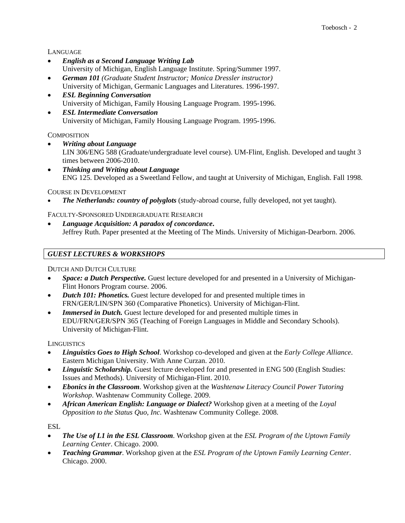LANGUAGE

- *English as a Second Language Writing Lab* University of Michigan, English Language Institute. Spring/Summer 1997.
- *German 101 (Graduate Student Instructor; Monica Dressler instructor)* University of Michigan, Germanic Languages and Literatures. 1996-1997.
- *ESL Beginning Conversation* University of Michigan, Family Housing Language Program. 1995-1996.
- *ESL Intermediate Conversation* University of Michigan, Family Housing Language Program. 1995-1996.

**COMPOSITION** 

- *Writing about Language* LIN 306/ENG 588 (Graduate/undergraduate level course). UM-Flint, English. Developed and taught 3 times between 2006-2010.
- *Thinking and Writing about Language* ENG 125. Developed as a Sweetland Fellow, and taught at University of Michigan, English. Fall 1998.

COURSE IN DEVELOPMENT

*The Netherlands: country of polyglots* (study-abroad course, fully developed, not yet taught).

FACULTY-SPONSORED UNDERGRADUATE RESEARCH

 *Language Acquisition: A paradox of concordance***.**  Jeffrey Ruth. Paper presented at the Meeting of The Minds. University of Michigan-Dearborn. 2006.

# *GUEST LECTURES & WORKSHOPS*

DUTCH AND DUTCH CULTURE

- *Space: a Dutch Perspective.* Guest lecture developed for and presented in a University of Michigan-Flint Honors Program course. 2006.
- *Dutch 101: Phonetics.* Guest lecture developed for and presented multiple times in FRN/GER/LIN/SPN 360 (Comparative Phonetics). University of Michigan-Flint.
- *Immersed in Dutch*. Guest lecture developed for and presented multiple times in EDU/FRN/GER/SPN 365 (Teaching of Foreign Languages in Middle and Secondary Schools). University of Michigan-Flint.

**LINGUISTICS** 

- *Linguistics Goes to High School*. Workshop co-developed and given at the *Early College Alliance*. Eastern Michigan University. With Anne Curzan. 2010.
- *Linguistic Scholarship.* Guest lecture developed for and presented in ENG 500 (English Studies: Issues and Methods). University of Michigan-Flint. 2010.
- *Ebonics in the Classroom*. Workshop given at the *Washtenaw Literacy Council Power Tutoring Workshop*. Washtenaw Community College. 2009.
- *African American English: Language or Dialect?* Workshop given at a meeting of the *Loyal Opposition to the Status Quo, Inc*. Washtenaw Community College. 2008.

ESL

- *The Use of L1 in the ESL Classroom*. Workshop given at the *ESL Program of the Uptown Family Learning Center*. Chicago. 2000.
- *Teaching Grammar*. Workshop given at the *ESL Program of the Uptown Family Learning Center*. Chicago. 2000.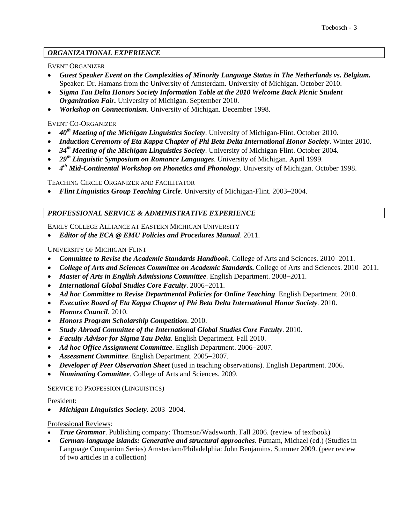# *ORGANIZATIONAL EXPERIENCE*

## EVENT ORGANIZER

- *Guest Speaker Event on the Complexities of Minority Language Status in The Netherlands vs. Belgium***.**  Speaker: Dr. Hamans from the University of Amsterdam. University of Michigan. October 2010.
- *Sigma Tau Delta Honors Society Information Table at the 2010 Welcome Back Picnic Student Organization Fair.* University of Michigan. September 2010.
- *Workshop on Connectionism*. University of Michigan. December 1998.

### EVENT CO-ORGANIZER

- *40th Meeting of the Michigan Linguistics Society*. University of Michigan-Flint. October 2010.
- *Induction Ceremony of Eta Kappa Chapter of Phi Beta Delta International Honor Society*. Winter 2010.
- *34th Meeting of the Michigan Linguistics Society*. University of Michigan-Flint. October 2004.
- *29th Linguistic Symposium on Romance Languages*. University of Michigan. April 1999.
- *4th Mid-Continental Workshop on Phonetics and Phonology*. University of Michigan. October 1998.

TEACHING CIRCLE ORGANIZER AND FACILITATOR

*Flint Linguistics Group Teaching Circle*. University of Michigan-Flint. 2003–2004.

### *PROFESSIONAL SERVICE & ADMINISTRATIVE EXPERIENCE*

EARLY COLLEGE ALLIANCE AT EASTERN MICHIGAN UNIVERSITY

*Editor of the ECA @ EMU Policies and Procedures Manual*. 2011.

UNIVERSITY OF MICHIGAN-FLINT

- Committee to Revise the Academic Standards Handbook**.** College of Arts and Sciences. 2010–2011.
- College of Arts and Sciences Committee on Academic Standards. College of Arts and Sciences. 2010–2011.
- Master of Arts in English Admissions Committee. English Department. 2008–2011.
- International Global Studies Core Faculty. 2006-2011.
- *Ad hoc Committee to Revise Departmental Policies for Online Teaching*. English Department. 2010.
- *Executive Board of Eta Kappa Chapter of Phi Beta Delta International Honor Society*. 2010.
- *Honors Council*. 2010.
- *Honors Program Scholarship Competition*. 2010.
- *Study Abroad Committee of the International Global Studies Core Faculty*. 2010.
- *Faculty Advisor for Sigma Tau Delta*. English Department. Fall 2010.
- Ad hoc Office Assignment Committee. English Department. 2006–2007.
- Assessment Committee. English Department. 2005-2007.
- *Developer of Peer Observation Sheet* (used in teaching observations). English Department. 2006.
- *Nominating Committee*. College of Arts and Sciences. 2009.

#### SERVICE TO PROFESSION (LINGUISTICS)

#### President:

• Michigan Linguistics Society. 2003-2004.

#### Professional Reviews:

- *True Grammar*. Publishing company: Thomson/Wadsworth. Fall 2006. (review of textbook)
- *German-language islands: Generative and structural approaches*. Putnam, Michael (ed.) (Studies in Language Companion Series) Amsterdam/Philadelphia: John Benjamins. Summer 2009. (peer review of two articles in a collection)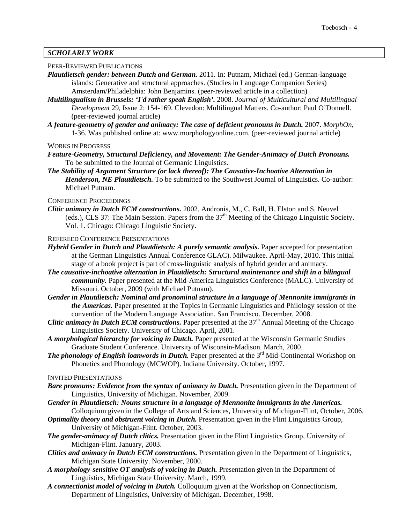## *SCHOLARLY WORK*

#### PEER-REVIEWED PUBLICATIONS

- *Plautdietsch gender: between Dutch and German.* 2011. In: Putnam, Michael (ed.) German-language islands: Generative and structural approaches. (Studies in Language Companion Series) Amsterdam/Philadelphia: John Benjamins. (peer-reviewed article in a collection)
- *Multilingualism in Brussels: 'I'd rather speak English'.* 2008. *Journal of Multicultural and Multilingual Development* 29, Issue 2: 154-169. Clevedon: Multilingual Matters. Co-author: Paul O'Donnell. (peer-reviewed journal article)
- *A feature-geometry of gender and animacy: The case of deficient pronouns in Dutch.* 2007. *MorphOn*, 1-36. Was published online at: www.morphologyonline.com. (peer-reviewed journal article)

WORKS IN PROGRESS

- *Feature-Geometry, Structural Deficiency, and Movement: The Gender-Animacy of Dutch Pronouns.* To be submitted to the Journal of Germanic Linguistics.
- *The Stability of Argument Structure (or lack thereof): The Causative-Inchoative Alternation in Henderson, NE Plautdietsch.* To be submitted to the Southwest Journal of Linguistics. Co-author: Michael Putnam.

#### CONFERENCE PROCEEDINGS

- *Clitic animacy in Dutch ECM constructions.* 2002. Andronis, M., C. Ball, H. Elston and S. Neuvel (eds.), CLS 37: The Main Session. Papers from the  $37<sup>th</sup>$  Meeting of the Chicago Linguistic Society. Vol. 1. Chicago: Chicago Linguistic Society.
- REFEREED CONFERENCE PRESENTATIONS
- *Hybrid Gender in Dutch and Plautdietsch: A purely semantic analysis.* Paper accepted for presentation at the German Linguistics Annual Conference GLAC). Milwaukee. April-May, 2010. This initial stage of a book project is part of cross-linguistic analysis of hybrid gender and animacy.
- *The causative-inchoative alternation in Plautdietsch: Structural maintenance and shift in a bilingual community.* Paper presented at the Mid-America Linguistics Conference (MALC). University of Missouri. October, 2009 (with Michael Putnam).
- *Gender in Plautdietsch: Nominal and pronominal structure in a language of Mennonite immigrants in the Americas.* Paper presented at the Topics in Germanic Linguistics and Philology session of the convention of the Modern Language Association. San Francisco. December, 2008.
- *Clitic animacy in Dutch ECM constructions.* Paper presented at the  $37<sup>th</sup>$  Annual Meeting of the Chicago Linguistics Society. University of Chicago. April, 2001.
- *A morphological hierarchy for voicing in Dutch.* Paper presented at the Wisconsin Germanic Studies Graduate Student Conference. University of Wisconsin-Madison. March, 2000.
- *The phonology of English loanwords in Dutch.* Paper presented at the 3<sup>rd</sup> Mid-Continental Workshop on Phonetics and Phonology (MCWOP). Indiana University. October, 1997.

#### INVITED PRESENTATIONS

- *Bare pronouns: Evidence from the syntax of animacy in Dutch.* Presentation given in the Department of Linguistics, University of Michigan. November, 2009.
- *Gender in Plautdietsch: Nouns structure in a language of Mennonite immigrants in the Americas.* Colloquium given in the College of Arts and Sciences, University of Michigan-Flint, October, 2006.
- *Optimality theory and obstruent voicing in Dutch.* Presentation given in the Flint Linguistics Group, University of Michigan-Flint. October, 2003.
- *The gender-animacy of Dutch clitics.* Presentation given in the Flint Linguistics Group, University of Michigan-Flint. January, 2003.
- *Clitics and animacy in Dutch ECM constructions.* Presentation given in the Department of Linguistics, Michigan State University. November, 2000.
- *A morphology-sensitive OT analysis of voicing in Dutch.* Presentation given in the Department of Linguistics, Michigan State University. March, 1999.
- *A connectionist model of voicing in Dutch.* Colloquium given at the Workshop on Connectionism, Department of Linguistics, University of Michigan. December, 1998.